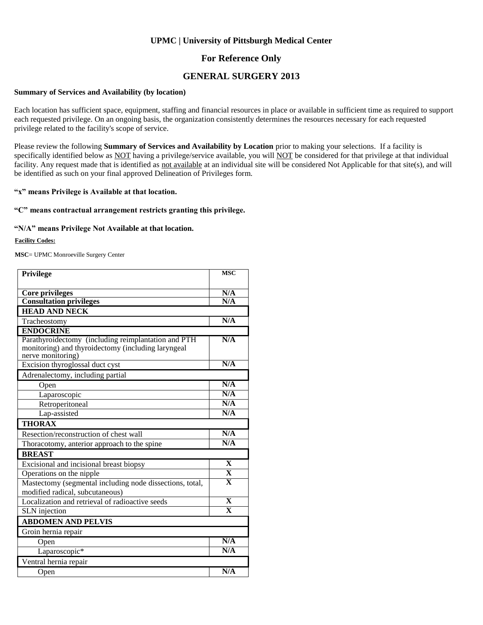### **For Reference Only**

### **GENERAL SURGERY 2013**

#### **Summary of Services and Availability (by location)**

Each location has sufficient space, equipment, staffing and financial resources in place or available in sufficient time as required to support each requested privilege. On an ongoing basis, the organization consistently determines the resources necessary for each requested privilege related to the facility's scope of service.

Please review the following **Summary of Services and Availability by Location** prior to making your selections. If a facility is specifically identified below as NOT having a privilege/service available, you will NOT be considered for that privilege at that individual facility. Any request made that is identified as not available at an individual site will be considered Not Applicable for that site(s), and will be identified as such on your final approved Delineation of Privileges form.

#### **"x" means Privilege is Available at that location.**

#### **"C" means contractual arrangement restricts granting this privilege.**

#### **"N/A" means Privilege Not Available at that location.**

#### **Facility Codes:**

**MSC**= UPMC Monroeville Surgery Center

| <b>Privilege</b>                                                                                                               | <b>MSC</b>              |  |
|--------------------------------------------------------------------------------------------------------------------------------|-------------------------|--|
|                                                                                                                                |                         |  |
| Core privileges                                                                                                                | N/A                     |  |
| <b>Consultation privileges</b>                                                                                                 | N/A                     |  |
| <b>HEAD AND NECK</b>                                                                                                           |                         |  |
| Tracheostomy                                                                                                                   | N/A                     |  |
| <b>ENDOCRINE</b>                                                                                                               |                         |  |
| Parathyroidectomy (including reimplantation and PTH<br>monitoring) and thyroidectomy (including laryngeal<br>nerve monitoring) | N/A                     |  |
| Excision thyroglossal duct cyst                                                                                                | N/A                     |  |
| Adrenalectomy, including partial                                                                                               |                         |  |
| Open                                                                                                                           | N/A                     |  |
| Laparoscopic                                                                                                                   | N/A                     |  |
| Retroperitoneal                                                                                                                | N/A                     |  |
| Lap-assisted                                                                                                                   | N/A                     |  |
| <b>THORAX</b>                                                                                                                  |                         |  |
| Resection/reconstruction of chest wall                                                                                         | N/A                     |  |
| Thoracotomy, anterior approach to the spine                                                                                    | N/A                     |  |
| <b>BREAST</b>                                                                                                                  |                         |  |
| Excisional and incisional breast biopsy                                                                                        | $\mathbf{X}$            |  |
| Operations on the nipple                                                                                                       | $\overline{\mathbf{X}}$ |  |
| Mastectomy (segmental including node dissections, total,                                                                       | $\overline{\mathbf{X}}$ |  |
| modified radical, subcutaneous)                                                                                                | $\overline{\mathbf{X}}$ |  |
| Localization and retrieval of radioactive seeds                                                                                | $\overline{\mathbf{x}}$ |  |
| <b>SLN</b> injection                                                                                                           |                         |  |
| <b>ABDOMEN AND PELVIS</b>                                                                                                      |                         |  |
| Groin hernia repair                                                                                                            |                         |  |
| Open                                                                                                                           | N/A                     |  |
| Laparoscopic*                                                                                                                  | N/A                     |  |
| Ventral hernia repair                                                                                                          |                         |  |
| Open                                                                                                                           | N/A                     |  |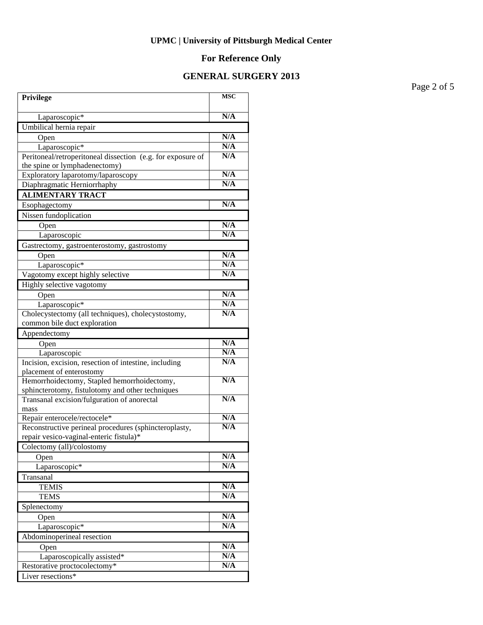# **For Reference Only**

### **GENERAL SURGERY 2013**

Page 2 of 5

| <b>Privilege</b>                                                                                | <b>MSC</b> |
|-------------------------------------------------------------------------------------------------|------------|
| Laparoscopic*                                                                                   | N/A        |
| Umbilical hernia repair                                                                         |            |
| Open                                                                                            | N/A        |
| Laparoscopic*                                                                                   | N/A        |
| Peritoneal/retroperitoneal dissection (e.g. for exposure of                                     | N/A        |
| the spine or lymphadenectomy)                                                                   |            |
| Exploratory laparotomy/laparoscopy                                                              | N/A        |
| Diaphragmatic Herniorrhaphy                                                                     | N/A        |
| <b>ALIMENTARY TRACT</b>                                                                         |            |
| Esophagectomy                                                                                   | N/A        |
| Nissen fundoplication                                                                           |            |
| Open                                                                                            | N/A        |
| Laparoscopic                                                                                    | N/A        |
| Gastrectomy, gastroenterostomy, gastrostomy                                                     |            |
| Open                                                                                            | N/A        |
| Laparoscopic*                                                                                   | N/A        |
| Vagotomy except highly selective                                                                | N/A        |
| Highly selective vagotomy                                                                       |            |
| Open                                                                                            | N/A        |
| Laparoscopic*                                                                                   | N/A        |
| Cholecystectomy (all techniques), cholecystostomy,                                              | N/A        |
| common bile duct exploration                                                                    |            |
| Appendectomy                                                                                    |            |
| Open                                                                                            | N/A        |
| Laparoscopic                                                                                    | N/A        |
| Incision, excision, resection of intestine, including                                           | N/A        |
| placement of enterostomy                                                                        | N/A        |
| Hemorrhoidectomy, Stapled hemorrhoidectomy,<br>sphincterotomy, fistulotomy and other techniques |            |
| Transanal excision/fulguration of anorectal                                                     | N/A        |
| mass                                                                                            |            |
| Repair enterocele/rectocele*                                                                    | N/A        |
| Reconstructive perineal procedures (sphincteroplasty,                                           | N/A        |
| repair vesico-vaginal-enteric fistula)*                                                         |            |
| Colectomy (all)/colostomy                                                                       |            |
| Open                                                                                            | N/A        |
| Laparoscopic*                                                                                   | N/A        |
| Transanal                                                                                       |            |
| <b>TEMIS</b>                                                                                    | N/A        |
| <b>TEMS</b>                                                                                     | N/A        |
| Splenectomy                                                                                     |            |
| Open                                                                                            | N/A        |
| Laparoscopic*                                                                                   | N/A        |
| Abdominoperineal resection                                                                      |            |
| Open                                                                                            | N/A        |
| Laparoscopically assisted*                                                                      | N/A        |
| Restorative proctocolectomy*                                                                    | N/A        |
| Liver resections*                                                                               |            |
|                                                                                                 |            |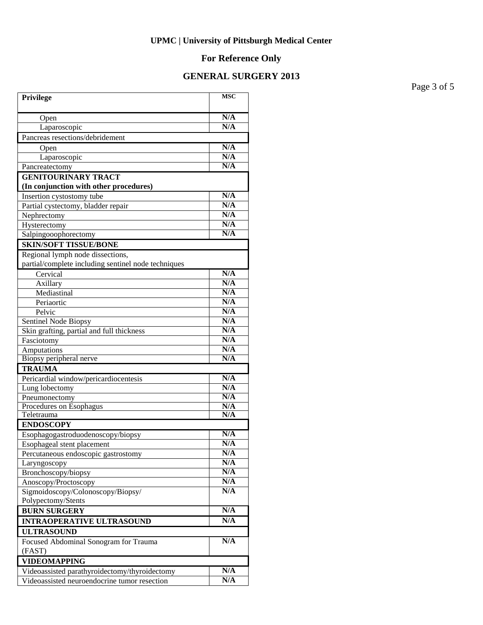# **For Reference Only**

### **GENERAL SURGERY 2013**

Page 3 of 5

| Privilege                                                            | <b>MSC</b> |
|----------------------------------------------------------------------|------------|
| Open                                                                 | N/A        |
| Laparoscopic                                                         | N/A        |
| Pancreas resections/debridement                                      |            |
| Open                                                                 | N/A        |
| Laparoscopic                                                         | N/A        |
| Pancreatectomy                                                       | N/A        |
| <b>GENITOURINARY TRACT</b><br>(In conjunction with other procedures) |            |
| Insertion cystostomy tube                                            | N/A        |
| Partial cystectomy, bladder repair                                   | N/A        |
| Nephrectomy                                                          | N/A        |
| Hysterectomy                                                         | N/A        |
| Salpingooophorectomy                                                 | N/A        |
| <b>SKIN/SOFT TISSUE/BONE</b>                                         |            |
| Regional lymph node dissections,                                     |            |
| partial/complete including sentinel node techniques                  |            |
| Cervical                                                             | N/A        |
| Axillary                                                             | N/A        |
| Mediastinal                                                          | N/A        |
| Periaortic                                                           | N/A        |
| Pelvic                                                               | N/A        |
| Sentinel Node Biopsy                                                 | N/A        |
| Skin grafting, partial and full thickness                            | N/A        |
| Fasciotomy                                                           | N/A        |
| Amputations                                                          | N/A        |
| Biopsy peripheral nerve                                              | N/A        |
| <b>TRAUMA</b>                                                        |            |
| Pericardial window/pericardiocentesis                                | N/A        |
| Lung lobectomy                                                       | N/A        |
| Pneumonectomy                                                        | N/A        |
| Procedures on Esophagus                                              | N/A        |
| Teletrauma                                                           | N/A        |
| <b>ENDOSCOPY</b>                                                     |            |
| Esophagogastroduodenoscopy/biopsy                                    | N/A        |
| Esophageal stent placement                                           | N/A        |
| Percutaneous endoscopic gastrostomy                                  | N/A        |
| Laryngoscopy                                                         | N/A        |
| Bronchoscopy/biopsy                                                  | N/A        |
| Anoscopy/Proctoscopy                                                 | N/A<br>N/A |
| Sigmoidoscopy/Colonoscopy/Biopsy/                                    |            |
| Polypectomy/Stents                                                   | N/A        |
| <b>BURN SURGERY</b>                                                  |            |
| <b>INTRAOPERATIVE ULTRASOUND</b>                                     | N/A        |
| <b>ULTRASOUND</b>                                                    |            |
| Focused Abdominal Sonogram for Trauma                                | N/A        |
| (FAST)                                                               |            |
| <b>VIDEOMAPPING</b>                                                  |            |
| Videoassisted parathyroidectomy/thyroidectomy                        | N/A        |
| Videoassisted neuroendocrine tumor resection                         | N/A        |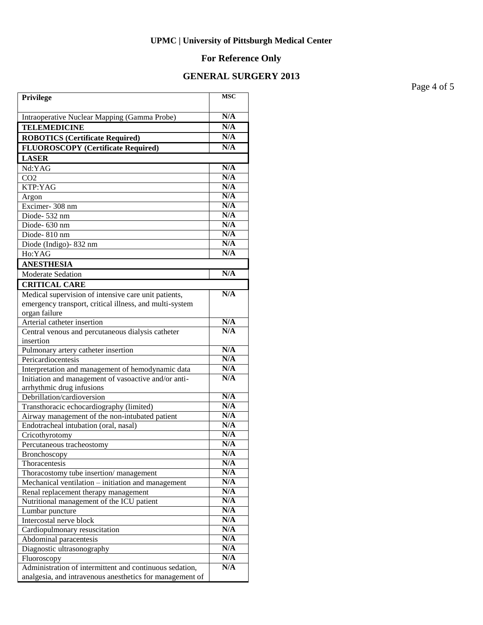# **For Reference Only**

### **GENERAL SURGERY 2013**

Page 4 of 5

| Privilege                                                                                  | <b>MSC</b> |
|--------------------------------------------------------------------------------------------|------------|
| Intraoperative Nuclear Mapping (Gamma Probe)                                               | N/A        |
| <b>TELEMEDICINE</b>                                                                        | N/A        |
| <b>ROBOTICS (Certificate Required)</b>                                                     | N/A        |
| <b>FLUOROSCOPY</b> (Certificate Required)                                                  | N/A        |
| <b>LASER</b>                                                                               |            |
| Nd:YAG                                                                                     | N/A        |
| CO <sub>2</sub>                                                                            | N/A        |
| KTP:YAG                                                                                    | N/A        |
| Argon                                                                                      | N/A        |
| Excimer-308 nm                                                                             | N/A        |
| Diode-532 nm                                                                               | N/A        |
| Diode-630 nm                                                                               | N/A        |
| Diode-810 nm                                                                               | N/A        |
| Diode (Indigo)-832 nm                                                                      | N/A        |
| Ho:YAG                                                                                     | N/A        |
| <b>ANESTHESIA</b>                                                                          |            |
| <b>Moderate Sedation</b>                                                                   | N/A        |
| <b>CRITICAL CARE</b>                                                                       |            |
| Medical supervision of intensive care unit patients,                                       | N/A        |
| emergency transport, critical illness, and multi-system                                    |            |
| organ failure                                                                              |            |
| Arterial catheter insertion                                                                | N/A        |
| Central venous and percutaneous dialysis catheter                                          | N/A        |
| insertion                                                                                  |            |
| Pulmonary artery catheter insertion                                                        | N/A        |
| Pericardiocentesis                                                                         | N/A        |
| Interpretation and management of hemodynamic data                                          | N/A        |
| Initiation and management of vasoactive and/or anti-                                       | N/A        |
| arrhythmic drug infusions                                                                  | N/A        |
| Debrillation/cardioversion                                                                 | N/A        |
| Transthoracic echocardiography (limited)<br>Airway management of the non-intubated patient | N/A        |
| Endotracheal intubation (oral, nasal)                                                      | N/A        |
| Cricothyrotomy                                                                             | N/A        |
| Percutaneous tracheostomy                                                                  | N/A        |
| <b>Bronchoscopy</b>                                                                        | N/A        |
| Thoracentesis                                                                              | N/A        |
| Thoracostomy tube insertion/management                                                     | N/A        |
| Mechanical ventilation – initiation and management                                         | N/A        |
| Renal replacement therapy management                                                       | N/A        |
| Nutritional management of the ICU patient                                                  | N/A        |
| Lumbar puncture                                                                            | N/A        |
| Intercostal nerve block                                                                    | N/A        |
| Cardiopulmonary resuscitation                                                              | N/A        |
| Abdominal paracentesis                                                                     | N/A        |
| Diagnostic ultrasonography                                                                 | N/A        |
| Fluoroscopy                                                                                | N/A        |
| Administration of intermittent and continuous sedation,                                    | N/A        |
| analgesia, and intravenous anesthetics for management of                                   |            |